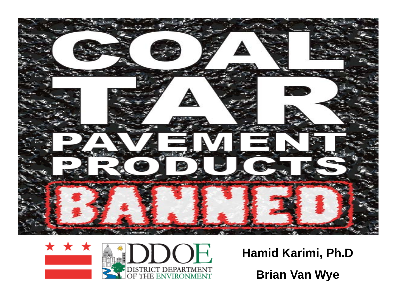



## **H id K i i Ph D Hamid Karimi, Ph.D Brian Van Wye**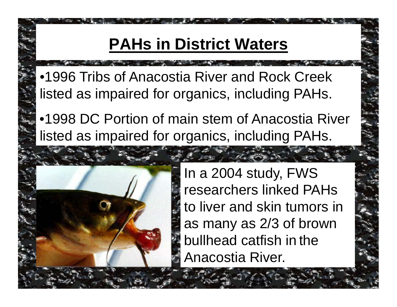## **PAHs in District Waters**

•1996 Tribs of Anacostia River and Rock Creek listed as impaired for organics, including PAHs.

•1998 DC Portion of main stem of Anacostia River listed as impaired for organics, including PAHs.



In a 2004 study, FWS researchers linked PAHs to liver and skin tumors in as many as 2/3 of brown bullhead catfish in the Anacostia River.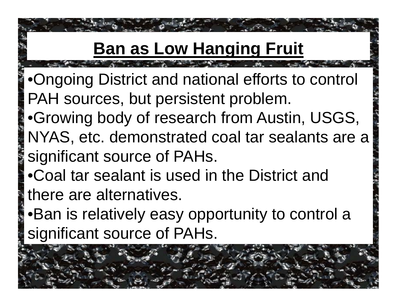# **Ban as Low Hanging Fruit**

- •Ongoing District and national efforts to control PAH sources, but persistent problem.
- •Growing body of research from Austin, USGS, NYAS, etc. demonstrated coal tar sealants are a significant source of PAHs.
- •Coal tar sealant is used in the District and there are alternatives.
- Ban is relatively easy opportunity to control a significant source of PAHs.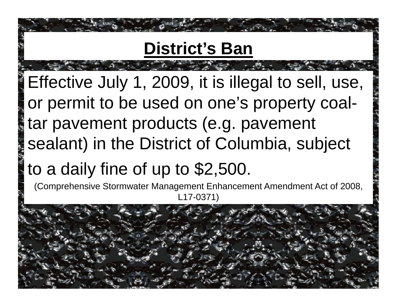# **District's Ban**

Effective July 1, 2009, it is illegal to sell, use, or permit to be used on one's property coaltar pavement products (e.g. pavement sealant) in the District of Columbia, subject to a daily fine of up to  $$2,500$ .

(Comprehensive Stormwater Management Enhancement Amendment Act of 2008, L17-0371)

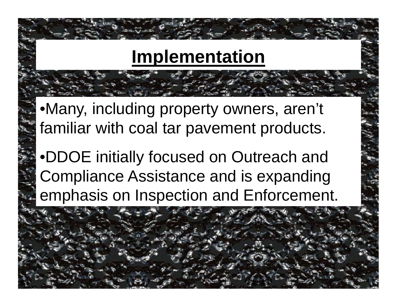## **Implementation**

•Many, including property owners, aren't familiar with coal tar pavement products.

•DDOE initially focused on Outreach and Compliance Assistance and is expanding emphasis on Inspection and Enforcement.

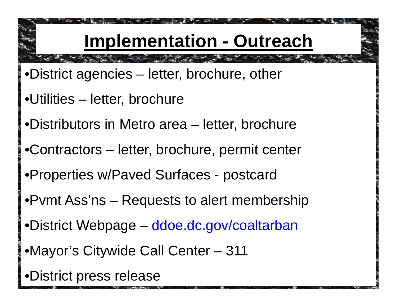# **Implementation - Outreach**

- •District agencies letter, brochure, other
- •Utilities –– letter, brochure
- •Distributors in Metro area letter, brochure
- •Contractors letter, brochure, permit center
- •Properties w/Paved Surfaces postcard
- •Pvmt Ass'ns Requests to alert membership
- •District Webpage ddoe.dc.gov/coaltarban
- •Mayor's Citywide Call Center – 311
- •District press release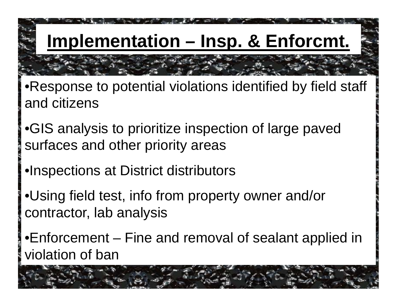**Implementation – Insp. & Enforcmt.**

- •Response to potential violations identified by field staff and citizens
- •GIS analysis to prioritize inspection of large paved surfaces and other priority areas
- •Inspections at District distributors
- •Using field test, info from property owner and/or contractor, lab analysis
- •Enforcement Fine and removal of sealant applied in violation of ban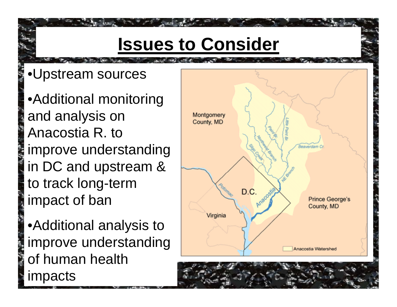# **Issues to Consider**

### •Upstream sources

• Additional monitoring and analysis on Anacostia R. to improve understanding in DC and u pstream & to track long-term impact of ban

•Additional analysis to improve understandin g of human health impacts